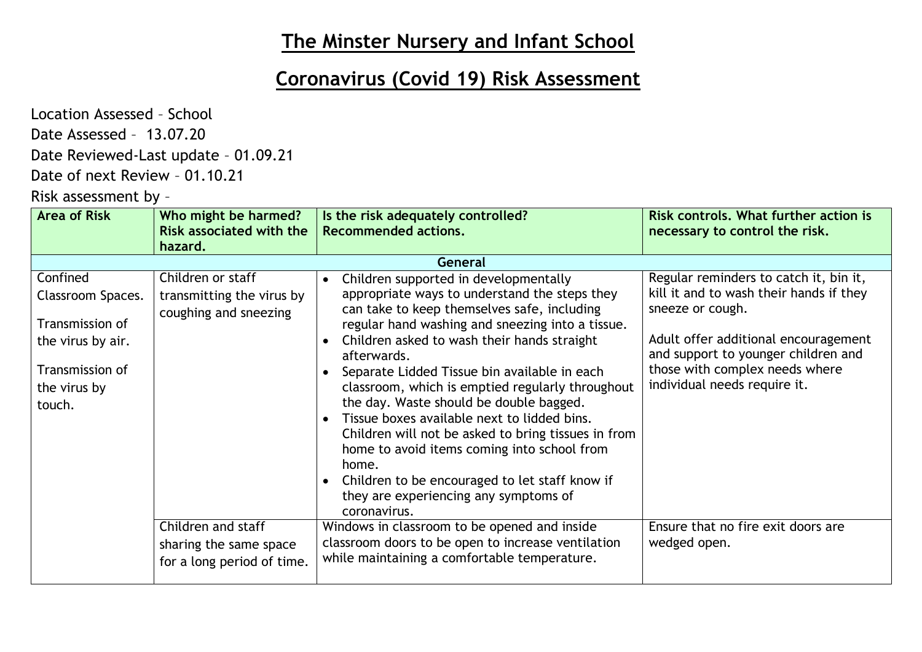## **The Minster Nursery and Infant School**

## **Coronavirus (Covid 19) Risk Assessment**

Location Assessed – School

Date Assessed – 13.07.20

Date Reviewed-Last update – 01.09.21

Date of next Review – 01.10.21

Risk assessment by –

| <b>Area of Risk</b>                                                                                                | Who might be harmed?                                                       | Is the risk adequately controlled?                                                                                                                                                                                                                                                                                                                                                                                                                                                                                                                                                                                                                                                                                                  | Risk controls. What further action is                                                                                                                                                                                                                  |
|--------------------------------------------------------------------------------------------------------------------|----------------------------------------------------------------------------|-------------------------------------------------------------------------------------------------------------------------------------------------------------------------------------------------------------------------------------------------------------------------------------------------------------------------------------------------------------------------------------------------------------------------------------------------------------------------------------------------------------------------------------------------------------------------------------------------------------------------------------------------------------------------------------------------------------------------------------|--------------------------------------------------------------------------------------------------------------------------------------------------------------------------------------------------------------------------------------------------------|
|                                                                                                                    | <b>Risk associated with the</b>                                            | <b>Recommended actions.</b>                                                                                                                                                                                                                                                                                                                                                                                                                                                                                                                                                                                                                                                                                                         | necessary to control the risk.                                                                                                                                                                                                                         |
|                                                                                                                    | hazard.                                                                    |                                                                                                                                                                                                                                                                                                                                                                                                                                                                                                                                                                                                                                                                                                                                     |                                                                                                                                                                                                                                                        |
|                                                                                                                    |                                                                            | <b>General</b>                                                                                                                                                                                                                                                                                                                                                                                                                                                                                                                                                                                                                                                                                                                      |                                                                                                                                                                                                                                                        |
| Confined<br>Classroom Spaces.<br>Transmission of<br>the virus by air.<br>Transmission of<br>the virus by<br>touch. | Children or staff<br>transmitting the virus by<br>coughing and sneezing    | Children supported in developmentally<br>$\bullet$<br>appropriate ways to understand the steps they<br>can take to keep themselves safe, including<br>regular hand washing and sneezing into a tissue.<br>Children asked to wash their hands straight<br>$\bullet$<br>afterwards.<br>Separate Lidded Tissue bin available in each<br>classroom, which is emptied regularly throughout<br>the day. Waste should be double bagged.<br>Tissue boxes available next to lidded bins.<br>$\bullet$<br>Children will not be asked to bring tissues in from<br>home to avoid items coming into school from<br>home.<br>Children to be encouraged to let staff know if<br>$\bullet$<br>they are experiencing any symptoms of<br>coronavirus. | Regular reminders to catch it, bin it,<br>kill it and to wash their hands if they<br>sneeze or cough.<br>Adult offer additional encouragement<br>and support to younger children and<br>those with complex needs where<br>individual needs require it. |
|                                                                                                                    | Children and staff<br>sharing the same space<br>for a long period of time. | Windows in classroom to be opened and inside<br>classroom doors to be open to increase ventilation<br>while maintaining a comfortable temperature.                                                                                                                                                                                                                                                                                                                                                                                                                                                                                                                                                                                  | Ensure that no fire exit doors are<br>wedged open.                                                                                                                                                                                                     |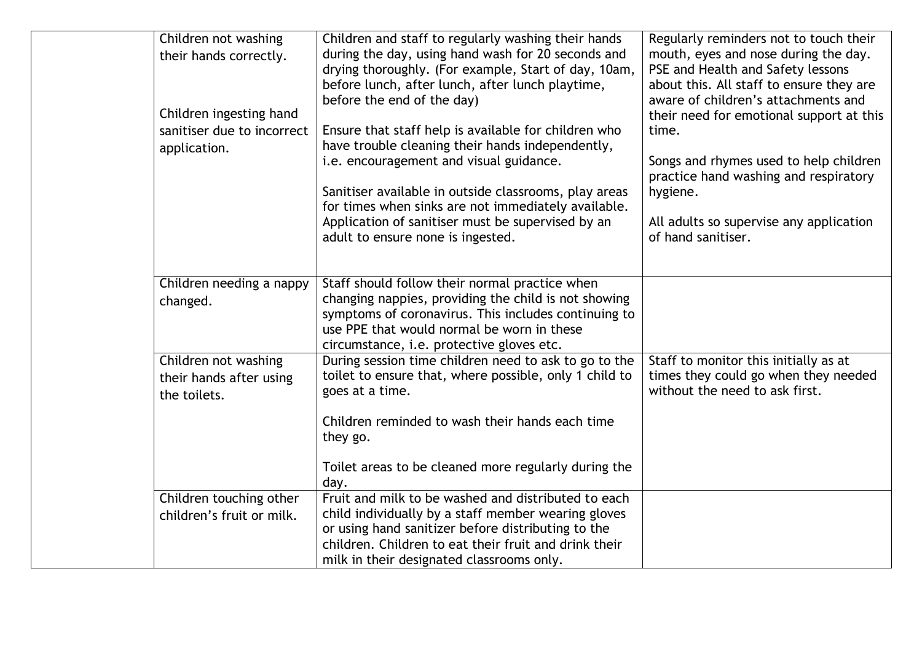| Children not washing       | Children and staff to regularly washing their hands    | Regularly reminders not to touch their   |
|----------------------------|--------------------------------------------------------|------------------------------------------|
| their hands correctly.     | during the day, using hand wash for 20 seconds and     | mouth, eyes and nose during the day.     |
|                            | drying thoroughly. (For example, Start of day, 10am,   | PSE and Health and Safety lessons        |
|                            | before lunch, after lunch, after lunch playtime,       | about this. All staff to ensure they are |
|                            | before the end of the day)                             | aware of children's attachments and      |
| Children ingesting hand    |                                                        | their need for emotional support at this |
| sanitiser due to incorrect | Ensure that staff help is available for children who   | time.                                    |
| application.               | have trouble cleaning their hands independently,       |                                          |
|                            | i.e. encouragement and visual guidance.                | Songs and rhymes used to help children   |
|                            |                                                        | practice hand washing and respiratory    |
|                            | Sanitiser available in outside classrooms, play areas  | hygiene.                                 |
|                            | for times when sinks are not immediately available.    |                                          |
|                            | Application of sanitiser must be supervised by an      | All adults so supervise any application  |
|                            | adult to ensure none is ingested.                      | of hand sanitiser.                       |
|                            |                                                        |                                          |
| Children needing a nappy   | Staff should follow their normal practice when         |                                          |
|                            | changing nappies, providing the child is not showing   |                                          |
| changed.                   | symptoms of coronavirus. This includes continuing to   |                                          |
|                            | use PPE that would normal be worn in these             |                                          |
|                            | circumstance, i.e. protective gloves etc.              |                                          |
| Children not washing       | During session time children need to ask to go to the  | Staff to monitor this initially as at    |
| their hands after using    | toilet to ensure that, where possible, only 1 child to | times they could go when they needed     |
| the toilets.               | goes at a time.                                        | without the need to ask first.           |
|                            |                                                        |                                          |
|                            | Children reminded to wash their hands each time        |                                          |
|                            | they go.                                               |                                          |
|                            |                                                        |                                          |
|                            | Toilet areas to be cleaned more regularly during the   |                                          |
|                            | day.                                                   |                                          |
| Children touching other    | Fruit and milk to be washed and distributed to each    |                                          |
| children's fruit or milk.  | child individually by a staff member wearing gloves    |                                          |
|                            | or using hand sanitizer before distributing to the     |                                          |
|                            | children. Children to eat their fruit and drink their  |                                          |
|                            | milk in their designated classrooms only.              |                                          |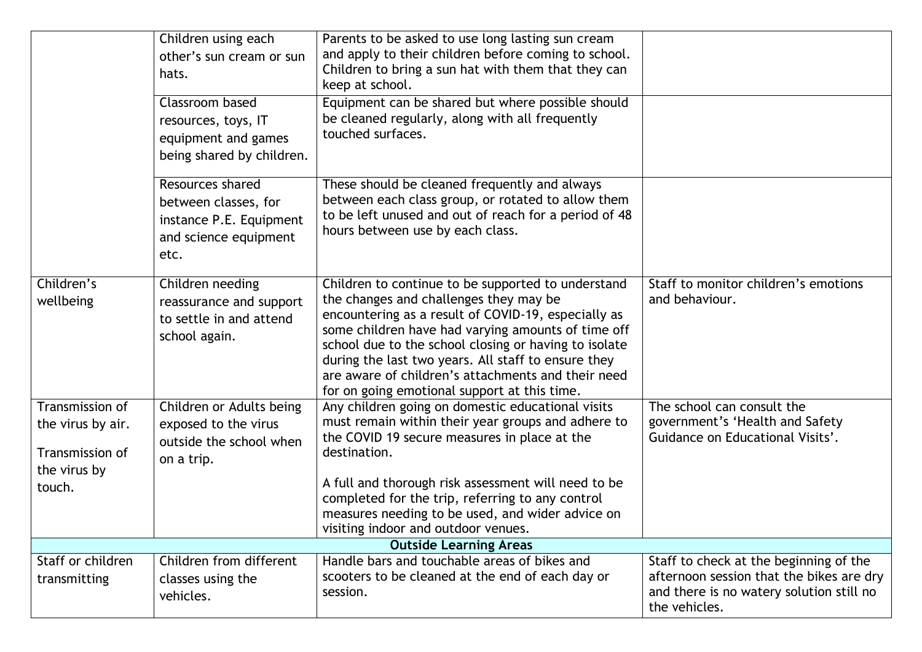|                                                                                   | Children using each<br>other's sun cream or sun<br>hats.<br>Classroom based<br>resources, toys, IT<br>equipment and games<br>being shared by children. | Parents to be asked to use long lasting sun cream<br>and apply to their children before coming to school.<br>Children to bring a sun hat with them that they can<br>keep at school.<br>Equipment can be shared but where possible should<br>be cleaned regularly, along with all frequently<br>touched surfaces.                                                                                                                |                                                                                                                                                 |
|-----------------------------------------------------------------------------------|--------------------------------------------------------------------------------------------------------------------------------------------------------|---------------------------------------------------------------------------------------------------------------------------------------------------------------------------------------------------------------------------------------------------------------------------------------------------------------------------------------------------------------------------------------------------------------------------------|-------------------------------------------------------------------------------------------------------------------------------------------------|
|                                                                                   | Resources shared<br>between classes, for<br>instance P.E. Equipment<br>and science equipment<br>etc.                                                   | These should be cleaned frequently and always<br>between each class group, or rotated to allow them<br>to be left unused and out of reach for a period of 48<br>hours between use by each class.                                                                                                                                                                                                                                |                                                                                                                                                 |
| Children's<br>wellbeing                                                           | Children needing<br>reassurance and support<br>to settle in and attend<br>school again.                                                                | Children to continue to be supported to understand<br>the changes and challenges they may be<br>encountering as a result of COVID-19, especially as<br>some children have had varying amounts of time off<br>school due to the school closing or having to isolate<br>during the last two years. All staff to ensure they<br>are aware of children's attachments and their need<br>for on going emotional support at this time. | Staff to monitor children's emotions<br>and behaviour.                                                                                          |
| Transmission of<br>the virus by air.<br>Transmission of<br>the virus by<br>touch. | Children or Adults being<br>exposed to the virus<br>outside the school when<br>on a trip.                                                              | Any children going on domestic educational visits<br>must remain within their year groups and adhere to<br>the COVID 19 secure measures in place at the<br>destination.<br>A full and thorough risk assessment will need to be<br>completed for the trip, referring to any control<br>measures needing to be used, and wider advice on<br>visiting indoor and outdoor venues.                                                   | The school can consult the<br>government's 'Health and Safety<br>Guidance on Educational Visits'.                                               |
|                                                                                   |                                                                                                                                                        | <b>Outside Learning Areas</b>                                                                                                                                                                                                                                                                                                                                                                                                   |                                                                                                                                                 |
| Staff or children<br>transmitting                                                 | Children from different<br>classes using the<br>vehicles.                                                                                              | Handle bars and touchable areas of bikes and<br>scooters to be cleaned at the end of each day or<br>session.                                                                                                                                                                                                                                                                                                                    | Staff to check at the beginning of the<br>afternoon session that the bikes are dry<br>and there is no watery solution still no<br>the vehicles. |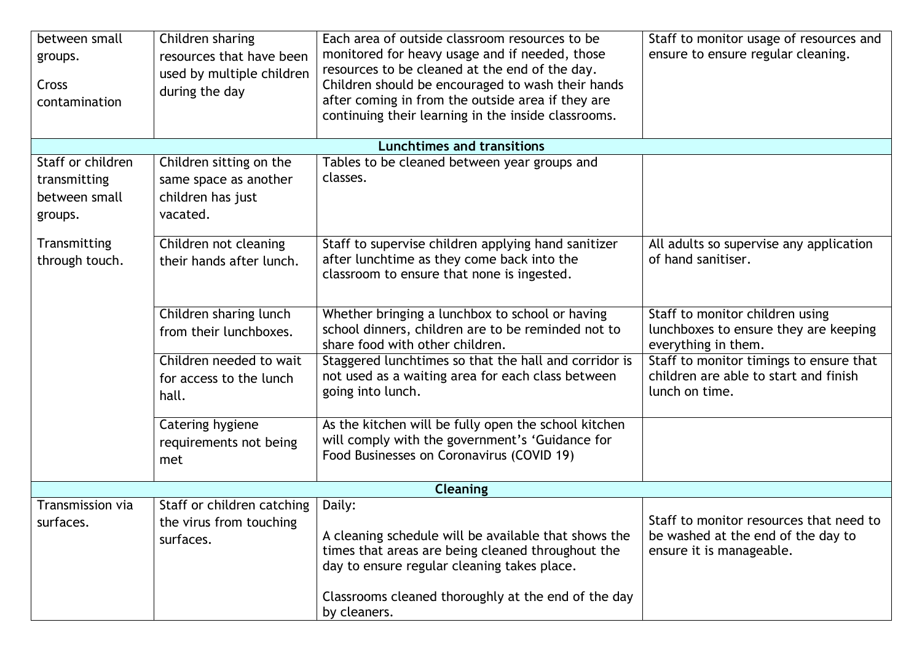| between small<br>groups.<br>Cross<br>contamination | Children sharing<br>resources that have been<br>used by multiple children<br>during the day | Each area of outside classroom resources to be<br>monitored for heavy usage and if needed, those<br>resources to be cleaned at the end of the day.<br>Children should be encouraged to wash their hands<br>after coming in from the outside area if they are<br>continuing their learning in the inside classrooms. | Staff to monitor usage of resources and<br>ensure to ensure regular cleaning. |
|----------------------------------------------------|---------------------------------------------------------------------------------------------|---------------------------------------------------------------------------------------------------------------------------------------------------------------------------------------------------------------------------------------------------------------------------------------------------------------------|-------------------------------------------------------------------------------|
|                                                    |                                                                                             | <b>Lunchtimes and transitions</b>                                                                                                                                                                                                                                                                                   |                                                                               |
| Staff or children                                  | Children sitting on the                                                                     | Tables to be cleaned between year groups and                                                                                                                                                                                                                                                                        |                                                                               |
| transmitting                                       | same space as another                                                                       | classes.                                                                                                                                                                                                                                                                                                            |                                                                               |
| between small                                      | children has just                                                                           |                                                                                                                                                                                                                                                                                                                     |                                                                               |
| groups.                                            | vacated.                                                                                    |                                                                                                                                                                                                                                                                                                                     |                                                                               |
| Transmitting                                       | Children not cleaning                                                                       | Staff to supervise children applying hand sanitizer                                                                                                                                                                                                                                                                 | All adults so supervise any application                                       |
| through touch.                                     | their hands after lunch.                                                                    | after lunchtime as they come back into the<br>classroom to ensure that none is ingested.                                                                                                                                                                                                                            | of hand sanitiser.                                                            |
|                                                    | Children sharing lunch                                                                      | Whether bringing a lunchbox to school or having                                                                                                                                                                                                                                                                     | Staff to monitor children using                                               |
|                                                    | from their lunchboxes.                                                                      | school dinners, children are to be reminded not to<br>share food with other children.                                                                                                                                                                                                                               | lunchboxes to ensure they are keeping<br>everything in them.                  |
|                                                    | Children needed to wait                                                                     | Staggered lunchtimes so that the hall and corridor is                                                                                                                                                                                                                                                               | Staff to monitor timings to ensure that                                       |
|                                                    | for access to the lunch<br>hall.                                                            | not used as a waiting area for each class between<br>going into lunch.                                                                                                                                                                                                                                              | children are able to start and finish<br>lunch on time.                       |
|                                                    | Catering hygiene                                                                            | As the kitchen will be fully open the school kitchen                                                                                                                                                                                                                                                                |                                                                               |
|                                                    | requirements not being                                                                      | will comply with the government's 'Guidance for                                                                                                                                                                                                                                                                     |                                                                               |
|                                                    | met                                                                                         | Food Businesses on Coronavirus (COVID 19)                                                                                                                                                                                                                                                                           |                                                                               |
|                                                    |                                                                                             | <b>Cleaning</b>                                                                                                                                                                                                                                                                                                     |                                                                               |
| <b>Transmission via</b>                            | Staff or children catching                                                                  | Daily:                                                                                                                                                                                                                                                                                                              |                                                                               |
| surfaces.                                          | the virus from touching                                                                     |                                                                                                                                                                                                                                                                                                                     | Staff to monitor resources that need to                                       |
|                                                    | surfaces.                                                                                   | A cleaning schedule will be available that shows the                                                                                                                                                                                                                                                                | be washed at the end of the day to                                            |
|                                                    |                                                                                             | times that areas are being cleaned throughout the<br>day to ensure regular cleaning takes place.                                                                                                                                                                                                                    | ensure it is manageable.                                                      |
|                                                    |                                                                                             |                                                                                                                                                                                                                                                                                                                     |                                                                               |
|                                                    |                                                                                             | Classrooms cleaned thoroughly at the end of the day<br>by cleaners.                                                                                                                                                                                                                                                 |                                                                               |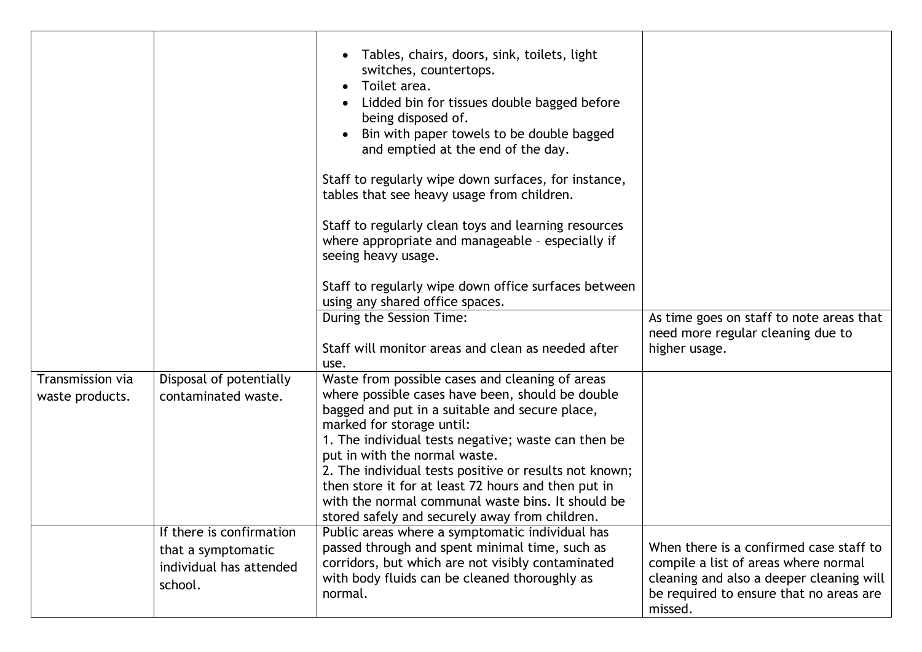| Transmission via<br>waste products. | Disposal of potentially<br>contaminated waste. | Tables, chairs, doors, sink, toilets, light<br>$\bullet$<br>switches, countertops.<br>Toilet area.<br>$\bullet$<br>Lidded bin for tissues double bagged before<br>being disposed of.<br>Bin with paper towels to be double bagged<br>and emptied at the end of the day.<br>Staff to regularly wipe down surfaces, for instance,<br>tables that see heavy usage from children.<br>Staff to regularly clean toys and learning resources<br>where appropriate and manageable - especially if<br>seeing heavy usage.<br>Staff to regularly wipe down office surfaces between<br>using any shared office spaces.<br>During the Session Time:<br>Staff will monitor areas and clean as needed after<br>use.<br>Waste from possible cases and cleaning of areas<br>where possible cases have been, should be double | As time goes on staff to note areas that<br>need more regular cleaning due to<br>higher usage. |
|-------------------------------------|------------------------------------------------|--------------------------------------------------------------------------------------------------------------------------------------------------------------------------------------------------------------------------------------------------------------------------------------------------------------------------------------------------------------------------------------------------------------------------------------------------------------------------------------------------------------------------------------------------------------------------------------------------------------------------------------------------------------------------------------------------------------------------------------------------------------------------------------------------------------|------------------------------------------------------------------------------------------------|
|                                     |                                                | bagged and put in a suitable and secure place,<br>marked for storage until:<br>1. The individual tests negative; waste can then be                                                                                                                                                                                                                                                                                                                                                                                                                                                                                                                                                                                                                                                                           |                                                                                                |
|                                     |                                                | put in with the normal waste.<br>2. The individual tests positive or results not known;<br>then store it for at least 72 hours and then put in<br>with the normal communal waste bins. It should be<br>stored safely and securely away from children.                                                                                                                                                                                                                                                                                                                                                                                                                                                                                                                                                        |                                                                                                |
|                                     | If there is confirmation                       | Public areas where a symptomatic individual has                                                                                                                                                                                                                                                                                                                                                                                                                                                                                                                                                                                                                                                                                                                                                              |                                                                                                |
|                                     | that a symptomatic                             | passed through and spent minimal time, such as<br>corridors, but which are not visibly contaminated                                                                                                                                                                                                                                                                                                                                                                                                                                                                                                                                                                                                                                                                                                          | When there is a confirmed case staff to<br>compile a list of areas where normal                |
|                                     | individual has attended<br>school.             | with body fluids can be cleaned thoroughly as<br>normal.                                                                                                                                                                                                                                                                                                                                                                                                                                                                                                                                                                                                                                                                                                                                                     | cleaning and also a deeper cleaning will<br>be required to ensure that no areas are            |
|                                     |                                                |                                                                                                                                                                                                                                                                                                                                                                                                                                                                                                                                                                                                                                                                                                                                                                                                              | missed.                                                                                        |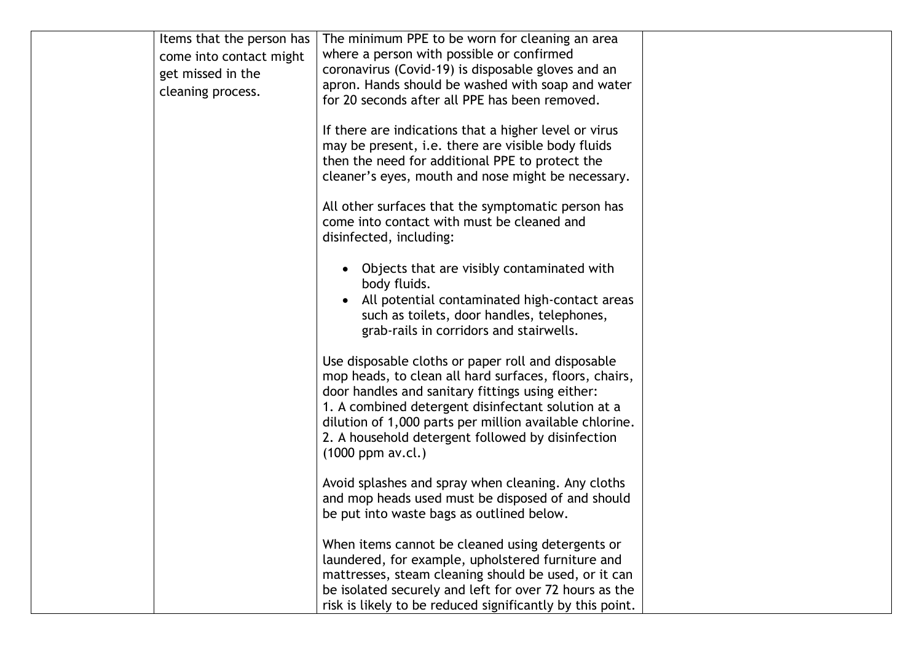| Items that the person has<br>come into contact might<br>get missed in the<br>cleaning process. | The minimum PPE to be worn for cleaning an area<br>where a person with possible or confirmed<br>coronavirus (Covid-19) is disposable gloves and an<br>apron. Hands should be washed with soap and water<br>for 20 seconds after all PPE has been removed.<br>If there are indications that a higher level or virus<br>may be present, i.e. there are visible body fluids<br>then the need for additional PPE to protect the |  |
|------------------------------------------------------------------------------------------------|-----------------------------------------------------------------------------------------------------------------------------------------------------------------------------------------------------------------------------------------------------------------------------------------------------------------------------------------------------------------------------------------------------------------------------|--|
|                                                                                                | cleaner's eyes, mouth and nose might be necessary.<br>All other surfaces that the symptomatic person has<br>come into contact with must be cleaned and<br>disinfected, including:                                                                                                                                                                                                                                           |  |
|                                                                                                | Objects that are visibly contaminated with<br>body fluids.<br>All potential contaminated high-contact areas<br>such as toilets, door handles, telephones,<br>grab-rails in corridors and stairwells.                                                                                                                                                                                                                        |  |
|                                                                                                | Use disposable cloths or paper roll and disposable<br>mop heads, to clean all hard surfaces, floors, chairs,<br>door handles and sanitary fittings using either:<br>1. A combined detergent disinfectant solution at a<br>dilution of 1,000 parts per million available chlorine.<br>2. A household detergent followed by disinfection<br>$(1000$ ppm av.cl.)                                                               |  |
|                                                                                                | Avoid splashes and spray when cleaning. Any cloths<br>and mop heads used must be disposed of and should<br>be put into waste bags as outlined below.                                                                                                                                                                                                                                                                        |  |
|                                                                                                | When items cannot be cleaned using detergents or<br>laundered, for example, upholstered furniture and<br>mattresses, steam cleaning should be used, or it can<br>be isolated securely and left for over 72 hours as the<br>risk is likely to be reduced significantly by this point.                                                                                                                                        |  |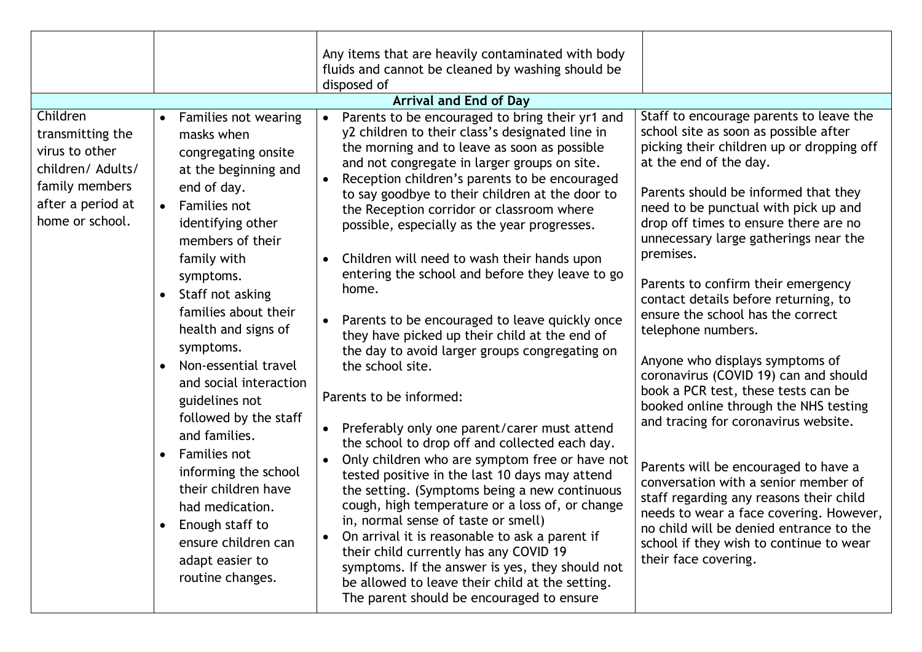|                                                                                                                               |                                                                                                                                                                                                                                                                                                                                                                                                                                                                                                                                                                                                                                | Any items that are heavily contaminated with body                                                                                                                                                                                                                                                                                                                                                                                                                                                                                                                                                                                                                                                                                                                                                                                                                                                                                                                                                                                                                                                                                                                                                                                                                                                                               |                                                                                                                                                                                                                                                                                                                                                                                                                                                                                                                                                                                                                                                                                                                                                                                                                                                                                                                                                                         |
|-------------------------------------------------------------------------------------------------------------------------------|--------------------------------------------------------------------------------------------------------------------------------------------------------------------------------------------------------------------------------------------------------------------------------------------------------------------------------------------------------------------------------------------------------------------------------------------------------------------------------------------------------------------------------------------------------------------------------------------------------------------------------|---------------------------------------------------------------------------------------------------------------------------------------------------------------------------------------------------------------------------------------------------------------------------------------------------------------------------------------------------------------------------------------------------------------------------------------------------------------------------------------------------------------------------------------------------------------------------------------------------------------------------------------------------------------------------------------------------------------------------------------------------------------------------------------------------------------------------------------------------------------------------------------------------------------------------------------------------------------------------------------------------------------------------------------------------------------------------------------------------------------------------------------------------------------------------------------------------------------------------------------------------------------------------------------------------------------------------------|-------------------------------------------------------------------------------------------------------------------------------------------------------------------------------------------------------------------------------------------------------------------------------------------------------------------------------------------------------------------------------------------------------------------------------------------------------------------------------------------------------------------------------------------------------------------------------------------------------------------------------------------------------------------------------------------------------------------------------------------------------------------------------------------------------------------------------------------------------------------------------------------------------------------------------------------------------------------------|
|                                                                                                                               |                                                                                                                                                                                                                                                                                                                                                                                                                                                                                                                                                                                                                                | fluids and cannot be cleaned by washing should be                                                                                                                                                                                                                                                                                                                                                                                                                                                                                                                                                                                                                                                                                                                                                                                                                                                                                                                                                                                                                                                                                                                                                                                                                                                                               |                                                                                                                                                                                                                                                                                                                                                                                                                                                                                                                                                                                                                                                                                                                                                                                                                                                                                                                                                                         |
|                                                                                                                               |                                                                                                                                                                                                                                                                                                                                                                                                                                                                                                                                                                                                                                | disposed of<br><b>Arrival and End of Day</b>                                                                                                                                                                                                                                                                                                                                                                                                                                                                                                                                                                                                                                                                                                                                                                                                                                                                                                                                                                                                                                                                                                                                                                                                                                                                                    |                                                                                                                                                                                                                                                                                                                                                                                                                                                                                                                                                                                                                                                                                                                                                                                                                                                                                                                                                                         |
| Children<br>transmitting the<br>virus to other<br>children/ Adults/<br>family members<br>after a period at<br>home or school. | Families not wearing<br>$\bullet$<br>masks when<br>congregating onsite<br>at the beginning and<br>end of day.<br>Families not<br>$\bullet$<br>identifying other<br>members of their<br>family with<br>symptoms.<br>Staff not asking<br>$\bullet$<br>families about their<br>health and signs of<br>symptoms.<br>Non-essential travel<br>$\bullet$<br>and social interaction<br>guidelines not<br>followed by the staff<br>and families.<br><b>Families not</b><br>$\bullet$<br>informing the school<br>their children have<br>had medication.<br>Enough staff to<br>ensure children can<br>adapt easier to<br>routine changes. | Parents to be encouraged to bring their yr1 and<br>y2 children to their class's designated line in<br>the morning and to leave as soon as possible<br>and not congregate in larger groups on site.<br>Reception children's parents to be encouraged<br>to say goodbye to their children at the door to<br>the Reception corridor or classroom where<br>possible, especially as the year progresses.<br>Children will need to wash their hands upon<br>$\bullet$<br>entering the school and before they leave to go<br>home.<br>Parents to be encouraged to leave quickly once<br>they have picked up their child at the end of<br>the day to avoid larger groups congregating on<br>the school site.<br>Parents to be informed:<br>Preferably only one parent/carer must attend<br>the school to drop off and collected each day.<br>Only children who are symptom free or have not<br>tested positive in the last 10 days may attend<br>the setting. (Symptoms being a new continuous<br>cough, high temperature or a loss of, or change<br>in, normal sense of taste or smell)<br>On arrival it is reasonable to ask a parent if<br>their child currently has any COVID 19<br>symptoms. If the answer is yes, they should not<br>be allowed to leave their child at the setting.<br>The parent should be encouraged to ensure | Staff to encourage parents to leave the<br>school site as soon as possible after<br>picking their children up or dropping off<br>at the end of the day.<br>Parents should be informed that they<br>need to be punctual with pick up and<br>drop off times to ensure there are no<br>unnecessary large gatherings near the<br>premises.<br>Parents to confirm their emergency<br>contact details before returning, to<br>ensure the school has the correct<br>telephone numbers.<br>Anyone who displays symptoms of<br>coronavirus (COVID 19) can and should<br>book a PCR test, these tests can be<br>booked online through the NHS testing<br>and tracing for coronavirus website.<br>Parents will be encouraged to have a<br>conversation with a senior member of<br>staff regarding any reasons their child<br>needs to wear a face covering. However,<br>no child will be denied entrance to the<br>school if they wish to continue to wear<br>their face covering. |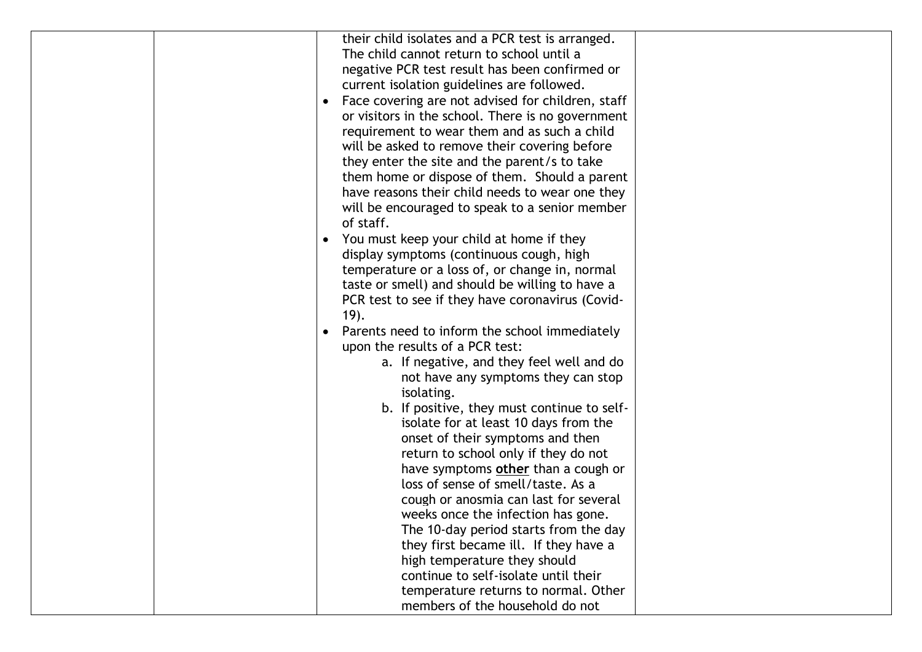| their child isolates and a PCR test is arranged.               |  |
|----------------------------------------------------------------|--|
| The child cannot return to school until a                      |  |
| negative PCR test result has been confirmed or                 |  |
| current isolation guidelines are followed.                     |  |
| Face covering are not advised for children, staff<br>$\bullet$ |  |
| or visitors in the school. There is no government              |  |
| requirement to wear them and as such a child                   |  |
| will be asked to remove their covering before                  |  |
| they enter the site and the parent/s to take                   |  |
| them home or dispose of them. Should a parent                  |  |
| have reasons their child needs to wear one they                |  |
| will be encouraged to speak to a senior member                 |  |
| of staff.                                                      |  |
| You must keep your child at home if they<br>$\bullet$          |  |
| display symptoms (continuous cough, high                       |  |
| temperature or a loss of, or change in, normal                 |  |
| taste or smell) and should be willing to have a                |  |
| PCR test to see if they have coronavirus (Covid-               |  |
| 19).                                                           |  |
| Parents need to inform the school immediately<br>$\bullet$     |  |
| upon the results of a PCR test:                                |  |
| a. If negative, and they feel well and do                      |  |
| not have any symptoms they can stop                            |  |
| isolating.                                                     |  |
| b. If positive, they must continue to self-                    |  |
| isolate for at least 10 days from the                          |  |
| onset of their symptoms and then                               |  |
| return to school only if they do not                           |  |
| have symptoms other than a cough or                            |  |
| loss of sense of smell/taste. As a                             |  |
| cough or anosmia can last for several                          |  |
| weeks once the infection has gone.                             |  |
| The 10-day period starts from the day                          |  |
| they first became ill. If they have a                          |  |
| high temperature they should                                   |  |
| continue to self-isolate until their                           |  |
| temperature returns to normal. Other                           |  |
| members of the household do not                                |  |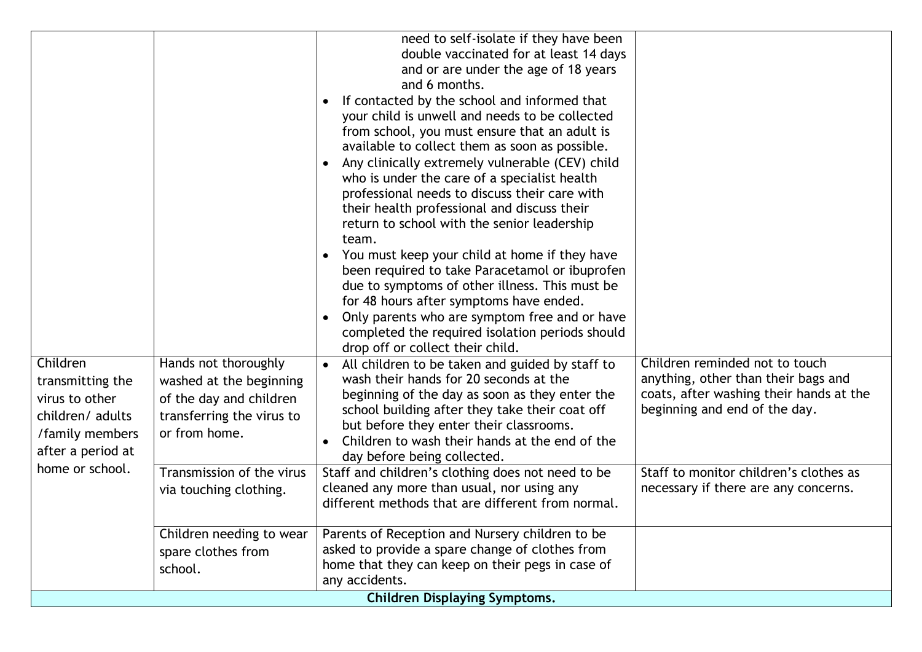|                                                                                                                               |                                                                                                                                                                                 | need to self-isolate if they have been<br>double vaccinated for at least 14 days<br>and or are under the age of 18 years<br>and 6 months.<br>If contacted by the school and informed that<br>$\bullet$<br>your child is unwell and needs to be collected<br>from school, you must ensure that an adult is<br>available to collect them as soon as possible.<br>Any clinically extremely vulnerable (CEV) child<br>$\bullet$<br>who is under the care of a specialist health<br>professional needs to discuss their care with<br>their health professional and discuss their<br>return to school with the senior leadership<br>team.<br>You must keep your child at home if they have<br>$\bullet$<br>been required to take Paracetamol or ibuprofen |                                                                                                                                                                                                                                     |
|-------------------------------------------------------------------------------------------------------------------------------|---------------------------------------------------------------------------------------------------------------------------------------------------------------------------------|-----------------------------------------------------------------------------------------------------------------------------------------------------------------------------------------------------------------------------------------------------------------------------------------------------------------------------------------------------------------------------------------------------------------------------------------------------------------------------------------------------------------------------------------------------------------------------------------------------------------------------------------------------------------------------------------------------------------------------------------------------|-------------------------------------------------------------------------------------------------------------------------------------------------------------------------------------------------------------------------------------|
| Children<br>transmitting the<br>virus to other<br>children/ adults<br>/family members<br>after a period at<br>home or school. | Hands not thoroughly<br>washed at the beginning<br>of the day and children<br>transferring the virus to<br>or from home.<br>Transmission of the virus<br>via touching clothing. | due to symptoms of other illness. This must be<br>for 48 hours after symptoms have ended.<br>Only parents who are symptom free and or have<br>$\bullet$<br>completed the required isolation periods should<br>drop off or collect their child.<br>All children to be taken and guided by staff to<br>wash their hands for 20 seconds at the<br>beginning of the day as soon as they enter the<br>school building after they take their coat off<br>but before they enter their classrooms.<br>Children to wash their hands at the end of the<br>day before being collected.<br>Staff and children's clothing does not need to be<br>cleaned any more than usual, nor using any<br>different methods that are different from normal.                 | Children reminded not to touch<br>anything, other than their bags and<br>coats, after washing their hands at the<br>beginning and end of the day.<br>Staff to monitor children's clothes as<br>necessary if there are any concerns. |
|                                                                                                                               | Children needing to wear<br>spare clothes from<br>school.                                                                                                                       | Parents of Reception and Nursery children to be<br>asked to provide a spare change of clothes from<br>home that they can keep on their pegs in case of<br>any accidents.<br><b>Children Displaying Symptoms.</b>                                                                                                                                                                                                                                                                                                                                                                                                                                                                                                                                    |                                                                                                                                                                                                                                     |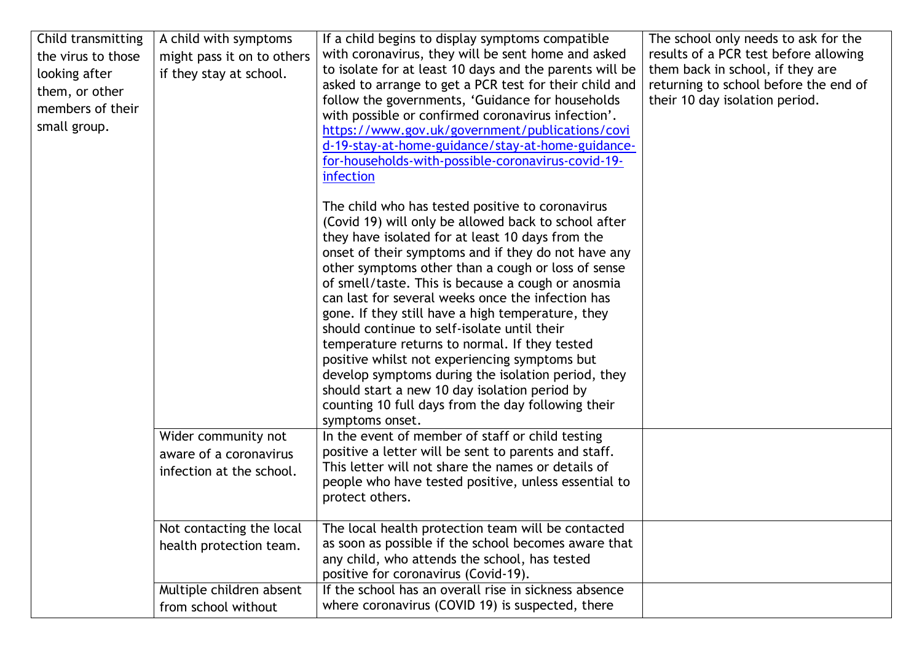| with coronavirus, they will be sent home and asked<br>results of a PCR test before allowing<br>the virus to those<br>might pass it on to others |  |
|-------------------------------------------------------------------------------------------------------------------------------------------------|--|
|                                                                                                                                                 |  |
| to isolate for at least 10 days and the parents will be<br>them back in school, if they are<br>if they stay at school.<br>looking after         |  |
| asked to arrange to get a PCR test for their child and<br>returning to school before the end of<br>them, or other                               |  |
| follow the governments, 'Guidance for households<br>their 10 day isolation period.                                                              |  |
| members of their<br>with possible or confirmed coronavirus infection'.                                                                          |  |
| small group.<br>https://www.gov.uk/government/publications/covi                                                                                 |  |
| d-19-stay-at-home-guidance/stay-at-home-guidance-                                                                                               |  |
| for-households-with-possible-coronavirus-covid-19-                                                                                              |  |
| infection                                                                                                                                       |  |
|                                                                                                                                                 |  |
| The child who has tested positive to coronavirus                                                                                                |  |
| (Covid 19) will only be allowed back to school after                                                                                            |  |
| they have isolated for at least 10 days from the                                                                                                |  |
| onset of their symptoms and if they do not have any                                                                                             |  |
| other symptoms other than a cough or loss of sense                                                                                              |  |
| of smell/taste. This is because a cough or anosmia                                                                                              |  |
| can last for several weeks once the infection has                                                                                               |  |
| gone. If they still have a high temperature, they                                                                                               |  |
| should continue to self-isolate until their                                                                                                     |  |
| temperature returns to normal. If they tested                                                                                                   |  |
| positive whilst not experiencing symptoms but                                                                                                   |  |
| develop symptoms during the isolation period, they                                                                                              |  |
| should start a new 10 day isolation period by                                                                                                   |  |
| counting 10 full days from the day following their                                                                                              |  |
| symptoms onset.                                                                                                                                 |  |
| In the event of member of staff or child testing<br>Wider community not                                                                         |  |
| positive a letter will be sent to parents and staff.<br>aware of a coronavirus                                                                  |  |
| This letter will not share the names or details of<br>infection at the school.                                                                  |  |
| people who have tested positive, unless essential to                                                                                            |  |
| protect others.                                                                                                                                 |  |
| Not contacting the local<br>The local health protection team will be contacted                                                                  |  |
| as soon as possible if the school becomes aware that<br>health protection team.                                                                 |  |
| any child, who attends the school, has tested                                                                                                   |  |
| positive for coronavirus (Covid-19).                                                                                                            |  |
| Multiple children absent<br>If the school has an overall rise in sickness absence                                                               |  |
| where coronavirus (COVID 19) is suspected, there<br>from school without                                                                         |  |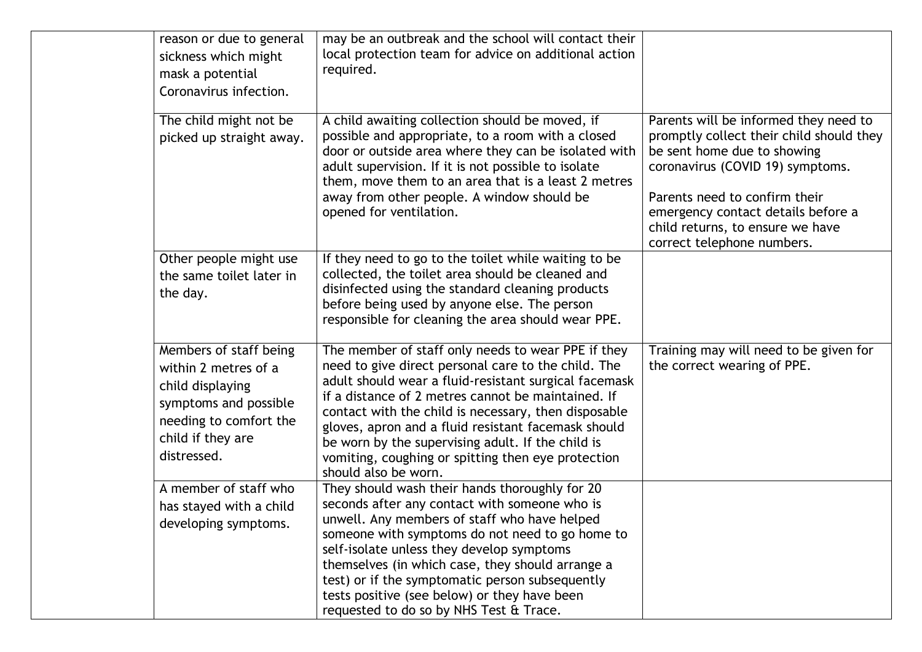| reason or due to general<br>sickness which might<br>mask a potential<br>Coronavirus infection.                                                            | may be an outbreak and the school will contact their<br>local protection team for advice on additional action<br>required.                                                                                                                                                                                                                                                                                                                                                 |                                                                                                                                                                                                                                                                                               |
|-----------------------------------------------------------------------------------------------------------------------------------------------------------|----------------------------------------------------------------------------------------------------------------------------------------------------------------------------------------------------------------------------------------------------------------------------------------------------------------------------------------------------------------------------------------------------------------------------------------------------------------------------|-----------------------------------------------------------------------------------------------------------------------------------------------------------------------------------------------------------------------------------------------------------------------------------------------|
| The child might not be<br>picked up straight away.                                                                                                        | A child awaiting collection should be moved, if<br>possible and appropriate, to a room with a closed<br>door or outside area where they can be isolated with<br>adult supervision. If it is not possible to isolate<br>them, move them to an area that is a least 2 metres<br>away from other people. A window should be<br>opened for ventilation.                                                                                                                        | Parents will be informed they need to<br>promptly collect their child should they<br>be sent home due to showing<br>coronavirus (COVID 19) symptoms.<br>Parents need to confirm their<br>emergency contact details before a<br>child returns, to ensure we have<br>correct telephone numbers. |
| Other people might use<br>the same toilet later in<br>the day.                                                                                            | If they need to go to the toilet while waiting to be<br>collected, the toilet area should be cleaned and<br>disinfected using the standard cleaning products<br>before being used by anyone else. The person<br>responsible for cleaning the area should wear PPE.                                                                                                                                                                                                         |                                                                                                                                                                                                                                                                                               |
| Members of staff being<br>within 2 metres of a<br>child displaying<br>symptoms and possible<br>needing to comfort the<br>child if they are<br>distressed. | The member of staff only needs to wear PPE if they<br>need to give direct personal care to the child. The<br>adult should wear a fluid-resistant surgical facemask<br>if a distance of 2 metres cannot be maintained. If<br>contact with the child is necessary, then disposable<br>gloves, apron and a fluid resistant facemask should<br>be worn by the supervising adult. If the child is<br>vomiting, coughing or spitting then eye protection<br>should also be worn. | Training may will need to be given for<br>the correct wearing of PPE.                                                                                                                                                                                                                         |
| A member of staff who<br>has stayed with a child<br>developing symptoms.                                                                                  | They should wash their hands thoroughly for 20<br>seconds after any contact with someone who is<br>unwell. Any members of staff who have helped<br>someone with symptoms do not need to go home to<br>self-isolate unless they develop symptoms<br>themselves (in which case, they should arrange a<br>test) or if the symptomatic person subsequently<br>tests positive (see below) or they have been<br>requested to do so by NHS Test & Trace.                          |                                                                                                                                                                                                                                                                                               |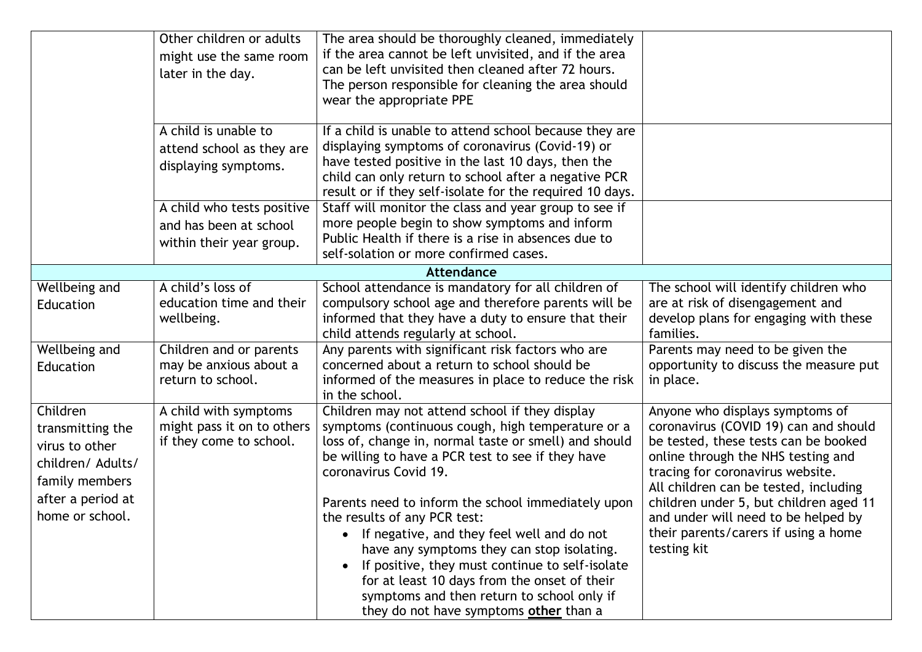|                                                                                                                               | Other children or adults<br>might use the same room<br>later in the day.         | The area should be thoroughly cleaned, immediately<br>if the area cannot be left unvisited, and if the area<br>can be left unvisited then cleaned after 72 hours.<br>The person responsible for cleaning the area should<br>wear the appropriate PPE                                                                                                                                                                                                                                                                                                                                                                      |                                                                                                                                                                                                                                                                                                                                                                             |
|-------------------------------------------------------------------------------------------------------------------------------|----------------------------------------------------------------------------------|---------------------------------------------------------------------------------------------------------------------------------------------------------------------------------------------------------------------------------------------------------------------------------------------------------------------------------------------------------------------------------------------------------------------------------------------------------------------------------------------------------------------------------------------------------------------------------------------------------------------------|-----------------------------------------------------------------------------------------------------------------------------------------------------------------------------------------------------------------------------------------------------------------------------------------------------------------------------------------------------------------------------|
|                                                                                                                               | A child is unable to<br>attend school as they are<br>displaying symptoms.        | If a child is unable to attend school because they are<br>displaying symptoms of coronavirus (Covid-19) or<br>have tested positive in the last 10 days, then the<br>child can only return to school after a negative PCR<br>result or if they self-isolate for the required 10 days.                                                                                                                                                                                                                                                                                                                                      |                                                                                                                                                                                                                                                                                                                                                                             |
|                                                                                                                               | A child who tests positive<br>and has been at school<br>within their year group. | Staff will monitor the class and year group to see if<br>more people begin to show symptoms and inform<br>Public Health if there is a rise in absences due to<br>self-solation or more confirmed cases.                                                                                                                                                                                                                                                                                                                                                                                                                   |                                                                                                                                                                                                                                                                                                                                                                             |
|                                                                                                                               |                                                                                  | Attendance                                                                                                                                                                                                                                                                                                                                                                                                                                                                                                                                                                                                                |                                                                                                                                                                                                                                                                                                                                                                             |
| Wellbeing and<br>Education                                                                                                    | A child's loss of<br>education time and their<br>wellbeing.                      | School attendance is mandatory for all children of<br>compulsory school age and therefore parents will be<br>informed that they have a duty to ensure that their<br>child attends regularly at school.                                                                                                                                                                                                                                                                                                                                                                                                                    | The school will identify children who<br>are at risk of disengagement and<br>develop plans for engaging with these<br>families.                                                                                                                                                                                                                                             |
| Wellbeing and<br>Education                                                                                                    | Children and or parents<br>may be anxious about a<br>return to school.           | Any parents with significant risk factors who are<br>concerned about a return to school should be<br>informed of the measures in place to reduce the risk<br>in the school.                                                                                                                                                                                                                                                                                                                                                                                                                                               | Parents may need to be given the<br>opportunity to discuss the measure put<br>in place.                                                                                                                                                                                                                                                                                     |
| Children<br>transmitting the<br>virus to other<br>children/ Adults/<br>family members<br>after a period at<br>home or school. | A child with symptoms<br>might pass it on to others<br>if they come to school.   | Children may not attend school if they display<br>symptoms (continuous cough, high temperature or a<br>loss of, change in, normal taste or smell) and should<br>be willing to have a PCR test to see if they have<br>coronavirus Covid 19.<br>Parents need to inform the school immediately upon<br>the results of any PCR test:<br>• If negative, and they feel well and do not<br>have any symptoms they can stop isolating.<br>If positive, they must continue to self-isolate<br>for at least 10 days from the onset of their<br>symptoms and then return to school only if<br>they do not have symptoms other than a | Anyone who displays symptoms of<br>coronavirus (COVID 19) can and should<br>be tested, these tests can be booked<br>online through the NHS testing and<br>tracing for coronavirus website.<br>All children can be tested, including<br>children under 5, but children aged 11<br>and under will need to be helped by<br>their parents/carers if using a home<br>testing kit |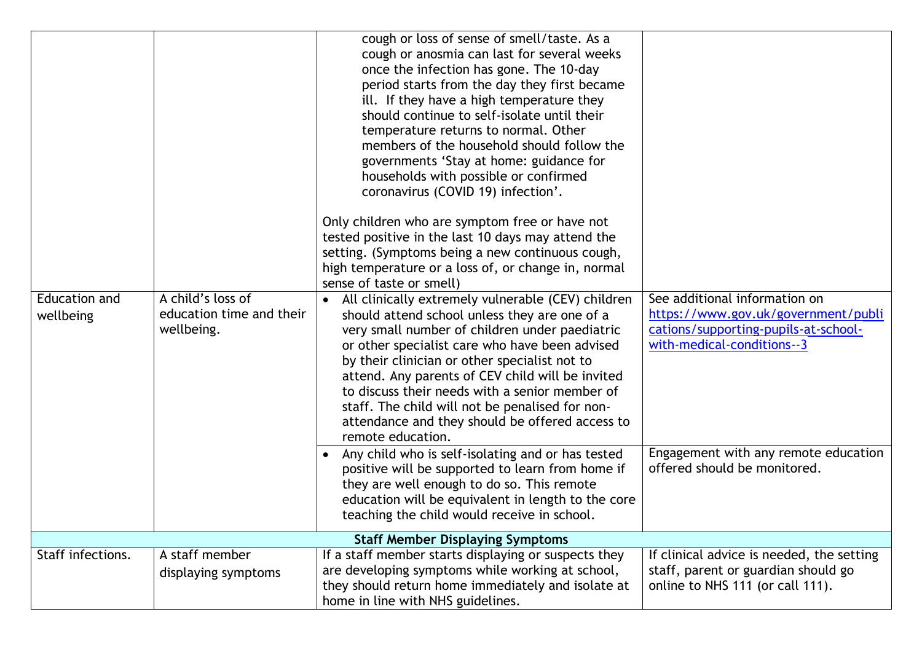| <b>Education and</b><br>wellbeing       | A child's loss of<br>education time and their<br>wellbeing. | cough or loss of sense of smell/taste. As a<br>cough or anosmia can last for several weeks<br>once the infection has gone. The 10-day<br>period starts from the day they first became<br>ill. If they have a high temperature they<br>should continue to self-isolate until their<br>temperature returns to normal. Other<br>members of the household should follow the<br>governments 'Stay at home: guidance for<br>households with possible or confirmed<br>coronavirus (COVID 19) infection'.<br>Only children who are symptom free or have not<br>tested positive in the last 10 days may attend the<br>setting. (Symptoms being a new continuous cough,<br>high temperature or a loss of, or change in, normal<br>sense of taste or smell)<br>All clinically extremely vulnerable (CEV) children<br>should attend school unless they are one of a<br>very small number of children under paediatric<br>or other specialist care who have been advised<br>by their clinician or other specialist not to<br>attend. Any parents of CEV child will be invited<br>to discuss their needs with a senior member of<br>staff. The child will not be penalised for non-<br>attendance and they should be offered access to<br>remote education.<br>Any child who is self-isolating and or has tested<br>positive will be supported to learn from home if<br>they are well enough to do so. This remote<br>education will be equivalent in length to the core<br>teaching the child would receive in school. | See additional information on<br>https://www.gov.uk/government/publi<br>cations/supporting-pupils-at-school-<br>with-medical-conditions--3<br>Engagement with any remote education<br>offered should be monitored. |  |  |
|-----------------------------------------|-------------------------------------------------------------|-----------------------------------------------------------------------------------------------------------------------------------------------------------------------------------------------------------------------------------------------------------------------------------------------------------------------------------------------------------------------------------------------------------------------------------------------------------------------------------------------------------------------------------------------------------------------------------------------------------------------------------------------------------------------------------------------------------------------------------------------------------------------------------------------------------------------------------------------------------------------------------------------------------------------------------------------------------------------------------------------------------------------------------------------------------------------------------------------------------------------------------------------------------------------------------------------------------------------------------------------------------------------------------------------------------------------------------------------------------------------------------------------------------------------------------------------------------------------------------------------------------|--------------------------------------------------------------------------------------------------------------------------------------------------------------------------------------------------------------------|--|--|
| <b>Staff Member Displaying Symptoms</b> |                                                             |                                                                                                                                                                                                                                                                                                                                                                                                                                                                                                                                                                                                                                                                                                                                                                                                                                                                                                                                                                                                                                                                                                                                                                                                                                                                                                                                                                                                                                                                                                           |                                                                                                                                                                                                                    |  |  |
| Staff infections.                       | A staff member                                              | If a staff member starts displaying or suspects they                                                                                                                                                                                                                                                                                                                                                                                                                                                                                                                                                                                                                                                                                                                                                                                                                                                                                                                                                                                                                                                                                                                                                                                                                                                                                                                                                                                                                                                      | If clinical advice is needed, the setting                                                                                                                                                                          |  |  |
|                                         | displaying symptoms                                         | are developing symptoms while working at school,<br>they should return home immediately and isolate at<br>home in line with NHS guidelines.                                                                                                                                                                                                                                                                                                                                                                                                                                                                                                                                                                                                                                                                                                                                                                                                                                                                                                                                                                                                                                                                                                                                                                                                                                                                                                                                                               | staff, parent or guardian should go<br>online to NHS 111 (or call 111).                                                                                                                                            |  |  |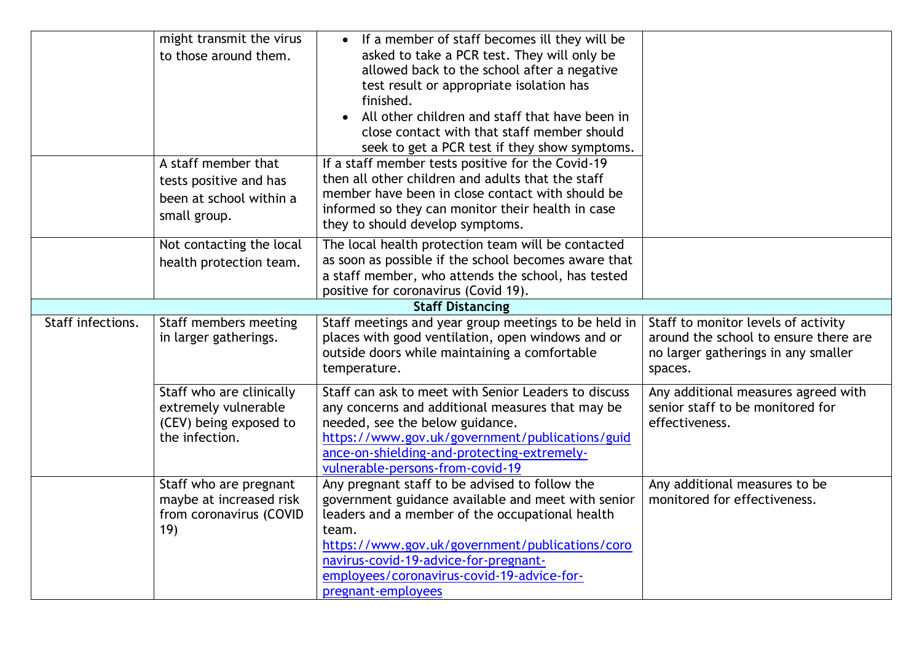|                   | might transmit the virus<br>to those around them.<br>A staff member that<br>tests positive and has | If a member of staff becomes ill they will be<br>asked to take a PCR test. They will only be<br>allowed back to the school after a negative<br>test result or appropriate isolation has<br>finished.<br>All other children and staff that have been in<br>$\bullet$<br>close contact with that staff member should<br>seek to get a PCR test if they show symptoms.<br>If a staff member tests positive for the Covid-19<br>then all other children and adults that the staff |                                                                                                                                |
|-------------------|----------------------------------------------------------------------------------------------------|-------------------------------------------------------------------------------------------------------------------------------------------------------------------------------------------------------------------------------------------------------------------------------------------------------------------------------------------------------------------------------------------------------------------------------------------------------------------------------|--------------------------------------------------------------------------------------------------------------------------------|
|                   | been at school within a<br>small group.                                                            | member have been in close contact with should be<br>informed so they can monitor their health in case<br>they to should develop symptoms.                                                                                                                                                                                                                                                                                                                                     |                                                                                                                                |
|                   | Not contacting the local<br>health protection team.                                                | The local health protection team will be contacted<br>as soon as possible if the school becomes aware that<br>a staff member, who attends the school, has tested<br>positive for coronavirus (Covid 19).                                                                                                                                                                                                                                                                      |                                                                                                                                |
|                   |                                                                                                    | <b>Staff Distancing</b>                                                                                                                                                                                                                                                                                                                                                                                                                                                       |                                                                                                                                |
| Staff infections. | Staff members meeting<br>in larger gatherings.                                                     | Staff meetings and year group meetings to be held in<br>places with good ventilation, open windows and or<br>outside doors while maintaining a comfortable<br>temperature.                                                                                                                                                                                                                                                                                                    | Staff to monitor levels of activity<br>around the school to ensure there are<br>no larger gatherings in any smaller<br>spaces. |
|                   | Staff who are clinically<br>extremely vulnerable<br>(CEV) being exposed to<br>the infection.       | Staff can ask to meet with Senior Leaders to discuss<br>any concerns and additional measures that may be<br>needed, see the below guidance.<br>https://www.gov.uk/government/publications/guid<br>ance-on-shielding-and-protecting-extremely-<br>vulnerable-persons-from-covid-19                                                                                                                                                                                             | Any additional measures agreed with<br>senior staff to be monitored for<br>effectiveness.                                      |
|                   | Staff who are pregnant<br>maybe at increased risk<br>from coronavirus (COVID<br>19)                | Any pregnant staff to be advised to follow the<br>government guidance available and meet with senior<br>leaders and a member of the occupational health<br>team.<br>https://www.gov.uk/government/publications/coro<br>navirus-covid-19-advice-for-pregnant-<br>employees/coronavirus-covid-19-advice-for-<br>pregnant-employees                                                                                                                                              | Any additional measures to be<br>monitored for effectiveness.                                                                  |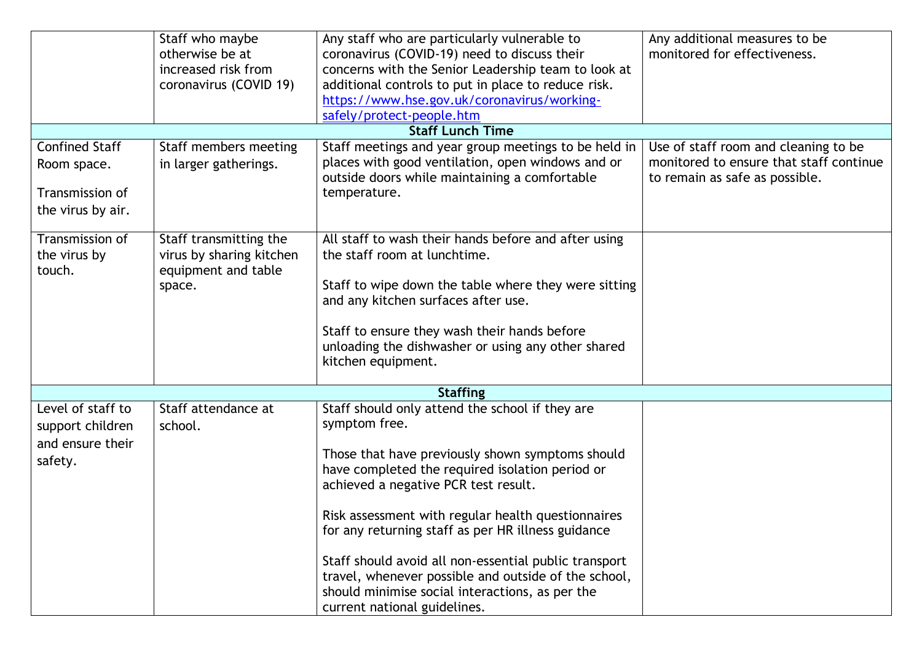|                         | Staff who maybe          | Any staff who are particularly vulnerable to          | Any additional measures to be           |  |  |  |
|-------------------------|--------------------------|-------------------------------------------------------|-----------------------------------------|--|--|--|
|                         | otherwise be at          | coronavirus (COVID-19) need to discuss their          | monitored for effectiveness.            |  |  |  |
|                         | increased risk from      | concerns with the Senior Leadership team to look at   |                                         |  |  |  |
|                         | coronavirus (COVID 19)   | additional controls to put in place to reduce risk.   |                                         |  |  |  |
|                         |                          | https://www.hse.gov.uk/coronavirus/working-           |                                         |  |  |  |
|                         |                          | safely/protect-people.htm                             |                                         |  |  |  |
| <b>Staff Lunch Time</b> |                          |                                                       |                                         |  |  |  |
| <b>Confined Staff</b>   | Staff members meeting    | Staff meetings and year group meetings to be held in  | Use of staff room and cleaning to be    |  |  |  |
| Room space.             | in larger gatherings.    | places with good ventilation, open windows and or     | monitored to ensure that staff continue |  |  |  |
|                         |                          | outside doors while maintaining a comfortable         | to remain as safe as possible.          |  |  |  |
| Transmission of         |                          | temperature.                                          |                                         |  |  |  |
| the virus by air.       |                          |                                                       |                                         |  |  |  |
|                         |                          |                                                       |                                         |  |  |  |
| Transmission of         | Staff transmitting the   | All staff to wash their hands before and after using  |                                         |  |  |  |
| the virus by            | virus by sharing kitchen | the staff room at lunchtime.                          |                                         |  |  |  |
| touch.                  | equipment and table      |                                                       |                                         |  |  |  |
|                         | space.                   | Staff to wipe down the table where they were sitting  |                                         |  |  |  |
|                         |                          | and any kitchen surfaces after use.                   |                                         |  |  |  |
|                         |                          | Staff to ensure they wash their hands before          |                                         |  |  |  |
|                         |                          | unloading the dishwasher or using any other shared    |                                         |  |  |  |
|                         |                          | kitchen equipment.                                    |                                         |  |  |  |
|                         |                          |                                                       |                                         |  |  |  |
|                         |                          | <b>Staffing</b>                                       |                                         |  |  |  |
| Level of staff to       | Staff attendance at      | Staff should only attend the school if they are       |                                         |  |  |  |
| support children        | school.                  | symptom free.                                         |                                         |  |  |  |
| and ensure their        |                          |                                                       |                                         |  |  |  |
| safety.                 |                          | Those that have previously shown symptoms should      |                                         |  |  |  |
|                         |                          | have completed the required isolation period or       |                                         |  |  |  |
|                         |                          | achieved a negative PCR test result.                  |                                         |  |  |  |
|                         |                          |                                                       |                                         |  |  |  |
|                         |                          | Risk assessment with regular health questionnaires    |                                         |  |  |  |
|                         |                          | for any returning staff as per HR illness guidance    |                                         |  |  |  |
|                         |                          | Staff should avoid all non-essential public transport |                                         |  |  |  |
|                         |                          | travel, whenever possible and outside of the school,  |                                         |  |  |  |
|                         |                          | should minimise social interactions, as per the       |                                         |  |  |  |
|                         |                          | current national guidelines.                          |                                         |  |  |  |